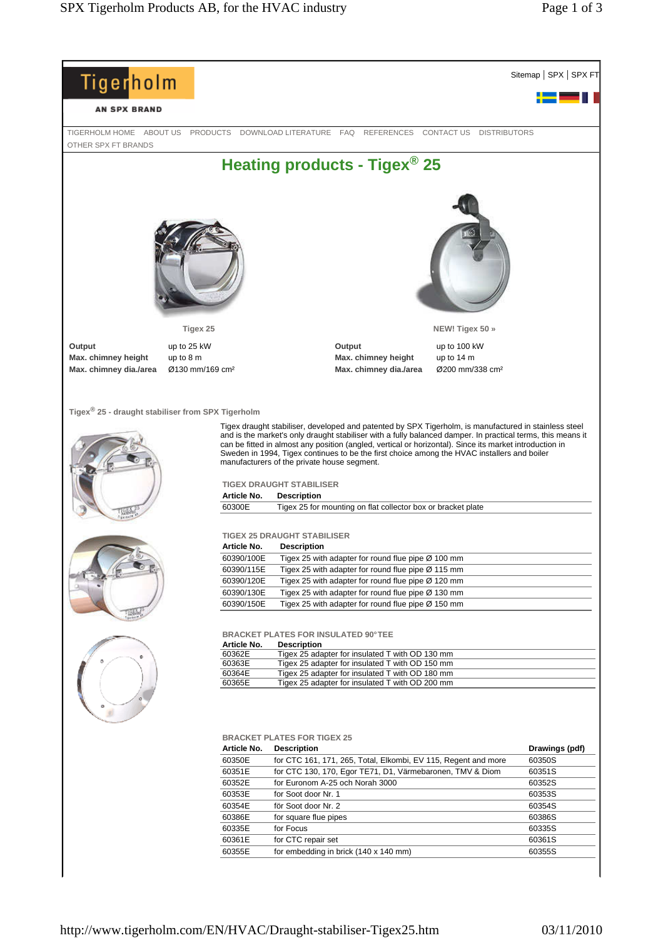